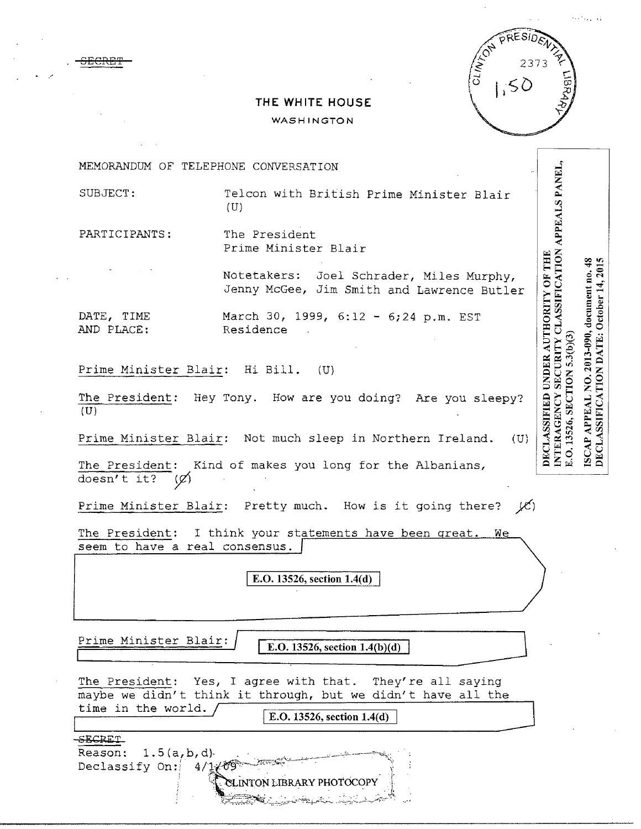|             | RESIDENT |  |
|-------------|----------|--|
| CLINICON P. | 2373     |  |
|             |          |  |
|             |          |  |

## **THE WHITE HOUSE**

## **WASHINGTON**

MEMORANDUM OF TELEPHONE CONVERSATION

. <del>SECRET</del>

. */* 

SUBJECT: Telcon with British Prime Minister Blair (U)

PARTICIPANTS: The President Prime Minister Blair

> Notetakers: Joel Schrader, Miles Murphy, Jenny McGee, Jim Smith and Lawrence Butler

DATE, TIME March 30, 1999, 6:12 - 6;24 p.m. EST AND PLACE: Residence

Prime Minister Blair: Hi Bill. (U)

The President: Hey Tony. How are you doing? Are you sleepy?  $(U)$ 

Prime Minister Blair: Not much sleep in Northern Ireland.  $(U)$ 

The President: Kind of makes you long for the Albanians, doesn't it?  $(x)$ 

Prime Minister Blair: Pretty much. How is it going there?  $\cancel{(C)}$ 

The President: I think your statements have been great. We seem to have a real consensus.

**E.O. 13526, section 1.4(d)** 

Prime Minister Blair: **E.O.** 13526, section 1.4(b)(d)

The President: Yes, I agree with that. They're all saying maybe we didn't think it through, but we didn't have all the time in the world. I **E.O. 13526, section l.4(d)** 

 $\Xi$  . the state is  $\Xi$  . The  $\Xi$ 

SECRET

Reason:  $1.5(a,b,d)$ .  $\scriptstyle\rm SLINTON$  LIBRARY PHOTOCOPY SEGRET<br>Reason: 1.5(a,b,d)<br>Declassify On: 4/1/09 CLINTON LIBRARY PHOTOCOPY

ISCAP APPEAL NO. 2013-090, document no. 48<br>DECLASSIFICATION DATE: October 14, 2015 E.O. 13526, SECTION 5.3(b)(3)

INTERAGENCY SECURITY CLASSIFICATION APPEALS PANEL,

DECLASSIFIED UNDER AUTHORITY OF THE

... · ... ,;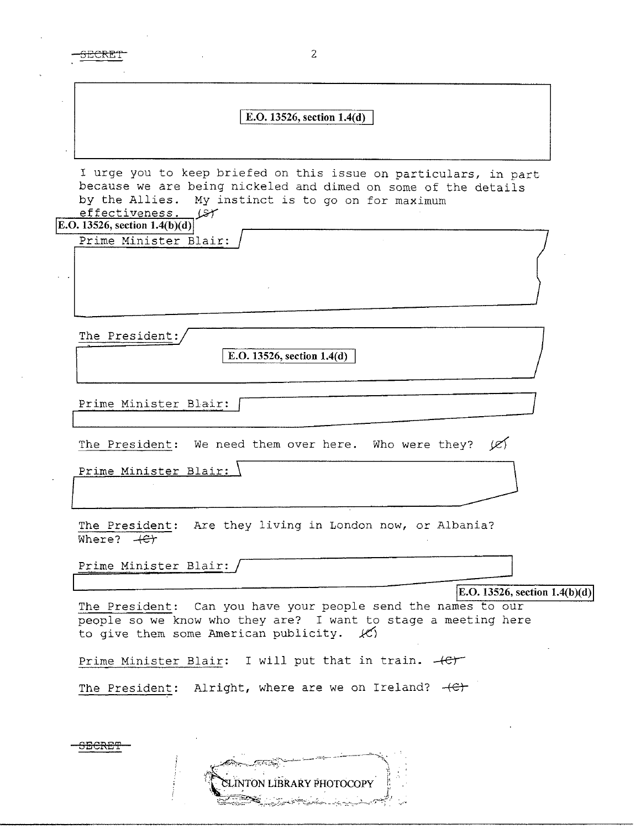2 <del>ECRE</del>T I **E.O. 13526, section l.4(d)**  I urge you to keep briefed on this issue on particulars, in part because we are being nickeled and dimed on some of the details<br>by the Allies. My instinct is to go on for maximum My instinct is to go on for maximum<br> $\sqrt{ST}$  $effectiveness.$ **IE.O. 13526, section 1.4(b)(d)** Prime Minister Blair: The President: E.O. 13526, section 1.4(d) Prime Minister Blair: The President: We need them over here. Who were they?  $\cancel{\varnothing}$ <br>Prime Minister Blair: The President: Are they living in London now, or Albania? Where? + <del>C</del> Prime Minister Blair: / **IE.O. 13526, section 1.4(b)(d)** The President: Can you have your people send the names to our people so we know who they are? I want to stage a meeting here to give them some American publicity. *kC\*  Prime Minister Blair: I will put that in train.  $+e^+$ The President: Alright, where are we on Ireland?  $+C$ <del>SECRET</del>

LINTON LIBRARY PHOTOCOPY

ساستان المنكار فتكاسيخ والمستركب

<u>Best</u>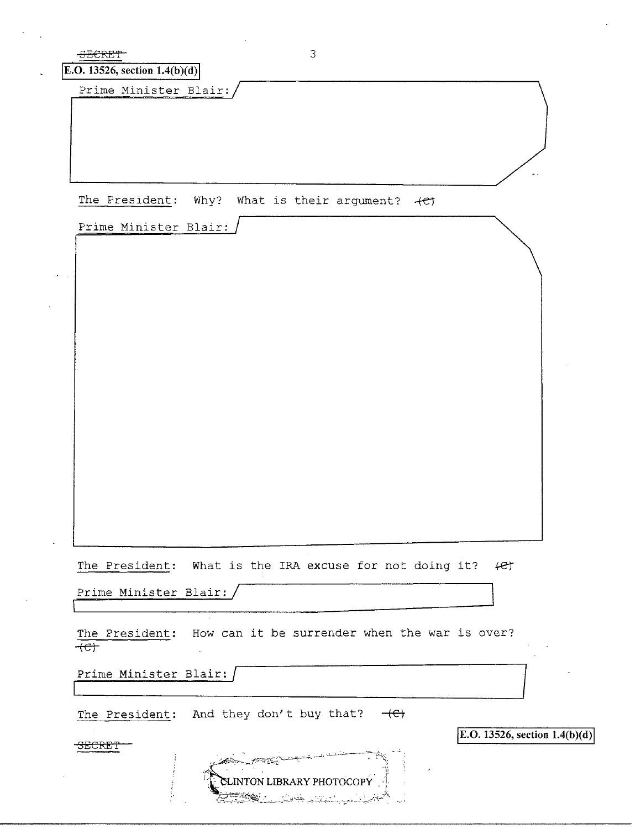| <del>SECREJ</del><br>E.O. 13526, section $1.4(b)(d)$ | 3                                                                                           |  |
|------------------------------------------------------|---------------------------------------------------------------------------------------------|--|
| Prime Minister Blair:                                |                                                                                             |  |
|                                                      |                                                                                             |  |
|                                                      | The President: Why? What is their argument? +et                                             |  |
| Prime Minister Blair:                                |                                                                                             |  |
|                                                      |                                                                                             |  |
|                                                      | The President: What is the IRA excuse for not doing it?<br>fet                              |  |
| Prime Minister Blair:                                |                                                                                             |  |
| $+e$                                                 | The President: How can it be surrender when the war is over?                                |  |
| Prime Minister Blair:                                |                                                                                             |  |
|                                                      | The President: And they don't buy that? $-\left(\frac{C}{C}\right)$                         |  |
| SECRET                                               | E.O. 13526, section $1.4(b)(d)$<br>CLINTON LIBRARY PHOTOCOPY<br><b>RACTION AND STRAIGHT</b> |  |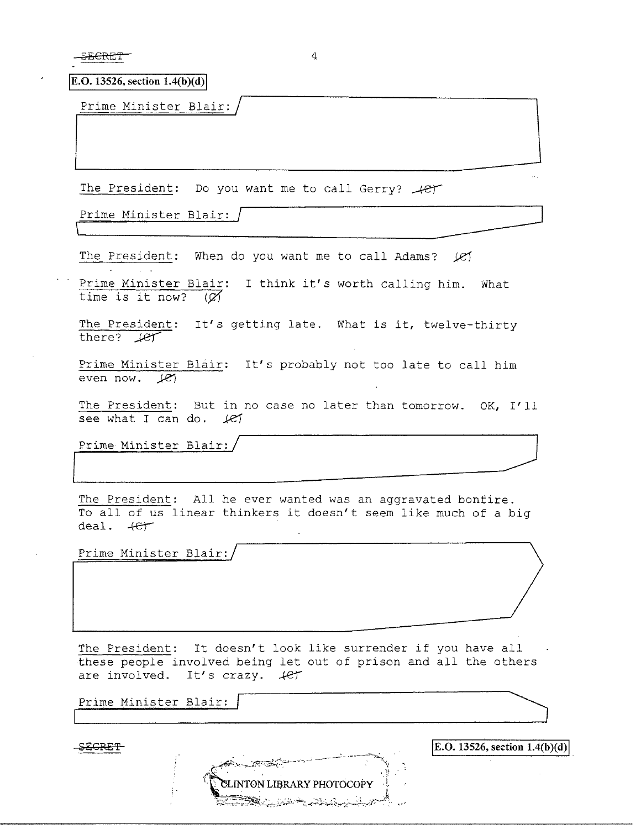<del>ECRET</del>

4

 $$ 

Prime Minister Blair:

The President: Do you want me to call Gerry?  $+e^+$  $\frac{1}{\sqrt{1-\frac{1}{2}}}$ 

Prime Minister Blair: /

time is it now?  $(\varnothing)$ 

The President: When do you want me to call Adams? *IE1* Prime Minister Blair: I think it's worth calling him. What

The President: It's getting late. What is it, twelve-thirty there?  $H$ 

'~~~~~~~~~~~--------

Prime Minister Blair: It's probably not too late to call him even now.  $\angle$ *e* 

The President: But in no case no later than tomorrow. OK, I'll see what I can do. *let* 

Prime Minister Blair:

The President: All he ever wanted was an aggravated bonfire. To all of us linear thinkers it doesn't seem like much of a big deal . **.+er** 

 $\overline{\phantom{a}}$ 

Prime Minister Blair:

The President: It doesn't look like surrender if you have all these people involved being let out of prison and all the others are involved. It's crazy.  $4e^r$ 

**INTON LIBRARY PHOTOCOPY** 

~:;'.2~~~?~~~'.~::;.:"-:"j~c.::~\,:·~;:;\_ ~)-:~,-~~~·:;,.--.:?-:·:\_;,f',-......:;1t: ., , */* 

''.\_\

i.

**IE.O. 13526, section 1.4(b)(d)** 

Prime Minister Blair:

**£EGRET**